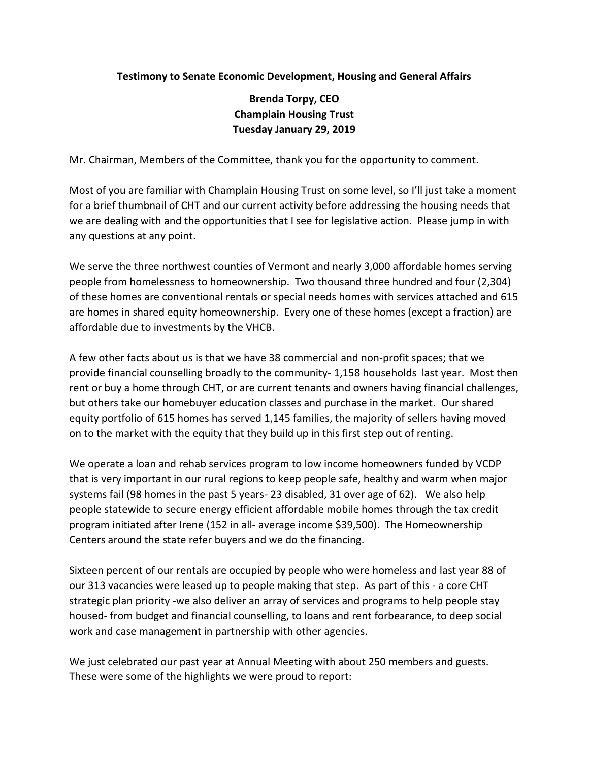## **Testimony to Senate Economic Development, Housing and General Affairs**

## **Brenda Torpy, CEO Champlain Housing Trust Tuesday January 29, 2019**

Mr. Chairman, Members of the Committee, thank you for the opportunity to comment.

Most of you are familiar with Champlain Housing Trust on some level, so I'll just take a moment for a brief thumbnail of CHT and our current activity before addressing the housing needs that we are dealing with and the opportunities that I see for legislative action. Please jump in with any questions at any point.

We serve the three northwest counties of Vermont and nearly 3,000 affordable homes serving people from homelessness to homeownership. Two thousand three hundred and four (2,304) of these homes are conventional rentals or special needs homes with services attached and 615 are homes in shared equity homeownership. Every one of these homes (except a fraction) are affordable due to investments by the VHCB.

A few other facts about us is that we have 38 commercial and non-profit spaces; that we provide financial counselling broadly to the community- 1,158 households last year. Most then rent or buy a home through CHT, or are current tenants and owners having financial challenges, but others take our homebuyer education classes and purchase in the market. Our shared equity portfolio of 615 homes has served 1,145 families, the majority of sellers having moved on to the market with the equity that they build up in this first step out of renting.

We operate a loan and rehab services program to low income homeowners funded by VCDP that is very important in our rural regions to keep people safe, healthy and warm when major systems fail (98 homes in the past 5 years- 23 disabled, 31 over age of 62). We also help people statewide to secure energy efficient affordable mobile homes through the tax credit program initiated after Irene (152 in all- average income \$39,500). The Homeownership Centers around the state refer buyers and we do the financing.

Sixteen percent of our rentals are occupied by people who were homeless and last year 88 of our 313 vacancies were leased up to people making that step. As part of this - a core CHT strategic plan priority -we also deliver an array of services and programs to help people stay housed- from budget and financial counselling, to loans and rent forbearance, to deep social work and case management in partnership with other agencies.

We just celebrated our past year at Annual Meeting with about 250 members and guests. These were some of the highlights we were proud to report: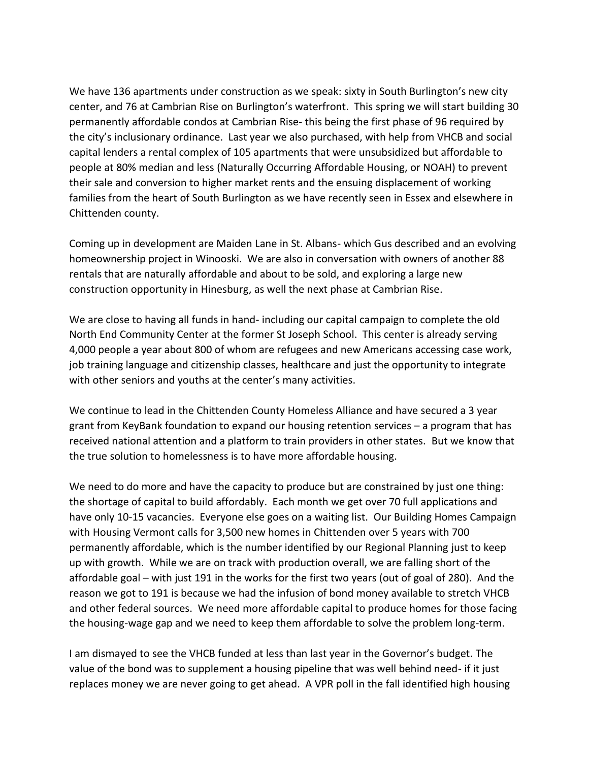We have 136 apartments under construction as we speak: sixty in South Burlington's new city center, and 76 at Cambrian Rise on Burlington's waterfront. This spring we will start building 30 permanently affordable condos at Cambrian Rise- this being the first phase of 96 required by the city's inclusionary ordinance. Last year we also purchased, with help from VHCB and social capital lenders a rental complex of 105 apartments that were unsubsidized but affordable to people at 80% median and less (Naturally Occurring Affordable Housing, or NOAH) to prevent their sale and conversion to higher market rents and the ensuing displacement of working families from the heart of South Burlington as we have recently seen in Essex and elsewhere in Chittenden county.

Coming up in development are Maiden Lane in St. Albans- which Gus described and an evolving homeownership project in Winooski. We are also in conversation with owners of another 88 rentals that are naturally affordable and about to be sold, and exploring a large new construction opportunity in Hinesburg, as well the next phase at Cambrian Rise.

We are close to having all funds in hand- including our capital campaign to complete the old North End Community Center at the former St Joseph School. This center is already serving 4,000 people a year about 800 of whom are refugees and new Americans accessing case work, job training language and citizenship classes, healthcare and just the opportunity to integrate with other seniors and youths at the center's many activities.

We continue to lead in the Chittenden County Homeless Alliance and have secured a 3 year grant from KeyBank foundation to expand our housing retention services – a program that has received national attention and a platform to train providers in other states. But we know that the true solution to homelessness is to have more affordable housing.

We need to do more and have the capacity to produce but are constrained by just one thing: the shortage of capital to build affordably. Each month we get over 70 full applications and have only 10-15 vacancies. Everyone else goes on a waiting list. Our Building Homes Campaign with Housing Vermont calls for 3,500 new homes in Chittenden over 5 years with 700 permanently affordable, which is the number identified by our Regional Planning just to keep up with growth. While we are on track with production overall, we are falling short of the affordable goal – with just 191 in the works for the first two years (out of goal of 280). And the reason we got to 191 is because we had the infusion of bond money available to stretch VHCB and other federal sources. We need more affordable capital to produce homes for those facing the housing-wage gap and we need to keep them affordable to solve the problem long-term.

I am dismayed to see the VHCB funded at less than last year in the Governor's budget. The value of the bond was to supplement a housing pipeline that was well behind need- if it just replaces money we are never going to get ahead. A VPR poll in the fall identified high housing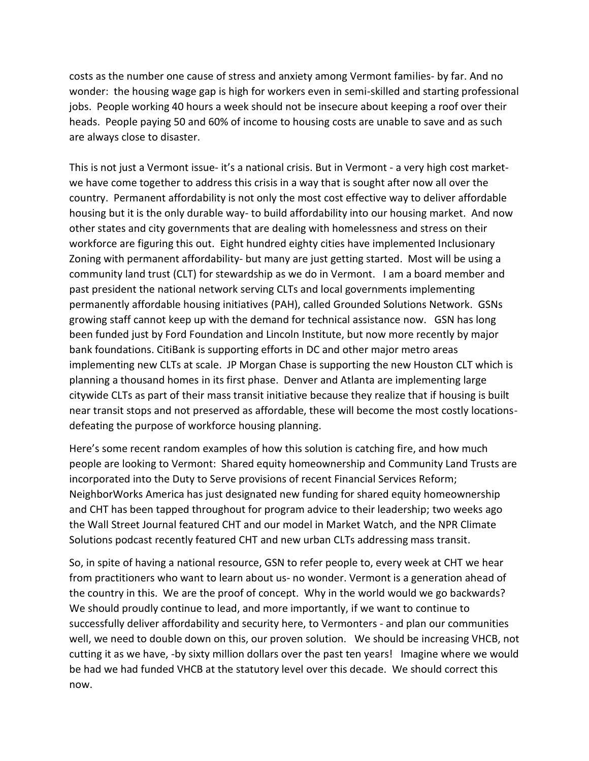costs as the number one cause of stress and anxiety among Vermont families- by far. And no wonder: the housing wage gap is high for workers even in semi-skilled and starting professional jobs. People working 40 hours a week should not be insecure about keeping a roof over their heads. People paying 50 and 60% of income to housing costs are unable to save and as such are always close to disaster.

This is not just a Vermont issue- it's a national crisis. But in Vermont - a very high cost marketwe have come together to address this crisis in a way that is sought after now all over the country. Permanent affordability is not only the most cost effective way to deliver affordable housing but it is the only durable way- to build affordability into our housing market. And now other states and city governments that are dealing with homelessness and stress on their workforce are figuring this out. Eight hundred eighty cities have implemented Inclusionary Zoning with permanent affordability- but many are just getting started. Most will be using a community land trust (CLT) for stewardship as we do in Vermont. I am a board member and past president the national network serving CLTs and local governments implementing permanently affordable housing initiatives (PAH), called Grounded Solutions Network. GSNs growing staff cannot keep up with the demand for technical assistance now. GSN has long been funded just by Ford Foundation and Lincoln Institute, but now more recently by major bank foundations. CitiBank is supporting efforts in DC and other major metro areas implementing new CLTs at scale. JP Morgan Chase is supporting the new Houston CLT which is planning a thousand homes in its first phase. Denver and Atlanta are implementing large citywide CLTs as part of their mass transit initiative because they realize that if housing is built near transit stops and not preserved as affordable, these will become the most costly locationsdefeating the purpose of workforce housing planning.

Here's some recent random examples of how this solution is catching fire, and how much people are looking to Vermont: Shared equity homeownership and Community Land Trusts are incorporated into the Duty to Serve provisions of recent Financial Services Reform; NeighborWorks America has just designated new funding for shared equity homeownership and CHT has been tapped throughout for program advice to their leadership; two weeks ago the Wall Street Journal featured CHT and our model in Market Watch, and the NPR Climate Solutions podcast recently featured CHT and new urban CLTs addressing mass transit.

So, in spite of having a national resource, GSN to refer people to, every week at CHT we hear from practitioners who want to learn about us- no wonder. Vermont is a generation ahead of the country in this. We are the proof of concept. Why in the world would we go backwards? We should proudly continue to lead, and more importantly, if we want to continue to successfully deliver affordability and security here, to Vermonters - and plan our communities well, we need to double down on this, our proven solution. We should be increasing VHCB, not cutting it as we have, -by sixty million dollars over the past ten years! Imagine where we would be had we had funded VHCB at the statutory level over this decade. We should correct this now.